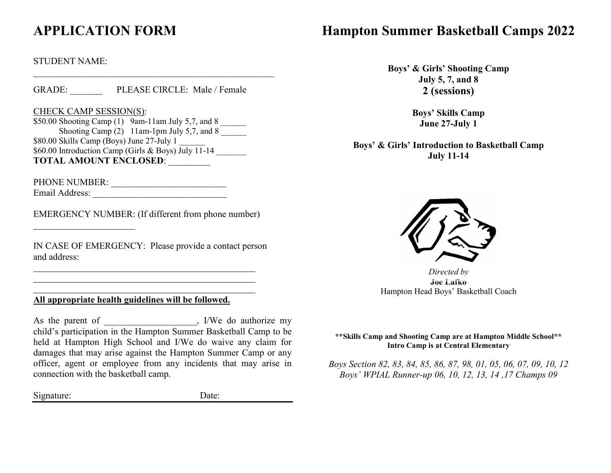# **APPLICATION FORM**

#### STUDENT NAME:

GRADE: PLEASE CIRCLE: Male / Female

#### CHECK CAMP SESSION(S):

\$50.00 Shooting Camp (1) 9am-11am July 5,7, and 8 \_\_\_\_\_\_ Shooting Camp  $(2)$  11am-1pm July 5,7, and 8 \$80.00 Skills Camp (Boys) June 27-July 1 \$60.00 Introduction Camp (Girls & Boys) July  $\overline{11-14}$ **TOTAL AMOUNT ENCLOSED**: \_\_\_\_\_\_\_\_\_

PHONE NUMBER: \_\_\_\_\_\_\_\_\_\_\_\_\_\_\_\_\_\_\_\_\_\_\_\_\_

 $\mathcal{L}_\text{max}$  , where  $\mathcal{L}_\text{max}$ 

Email Address: \_\_\_\_\_\_\_\_\_\_\_\_\_\_\_\_\_\_\_\_\_\_\_\_\_\_\_\_\_

EMERGENCY NUMBER: (If different from phone number)

IN CASE OF EMERGENCY: Please provide a contact person and address:

## **All appropriate health guidelines will be followed.**

As the parent of \_\_\_\_\_\_\_\_\_\_\_\_\_\_\_\_, I/We do authorize my child's participation in the Hampton Summer Basketball Camp to be held at Hampton High School and I/We do waive any claim for damages that may arise against the Hampton Summer Camp or any officer, agent or employee from any incidents that may arise in connection with the basketball camp.

Signature: Date:

## **Hampton Summer Basketball Camps 2022**

**Boys' & Girls' Shooting Camp July 5, 7, and 8 2 (sessions)**

> **Boys' Skills Camp June 27-July 1**

**Boys' & Girls' Introduction to Basketball Camp July 11-14**



*Directed by* **Joe Lafko** Hampton Head Boys' Basketball Coach

**\*\*Skills Camp and Shooting Camp are at Hampton Middle School\*\* Intro Camp is at Central Elementary**

*Boys Section 82, 83, 84, 85, 86, 87, 98, 01, 05, 06, 07, 09, 10, 12 Boys' WPIAL Runner-up 06, 10, 12, 13, 14 ,17 Champs 09*